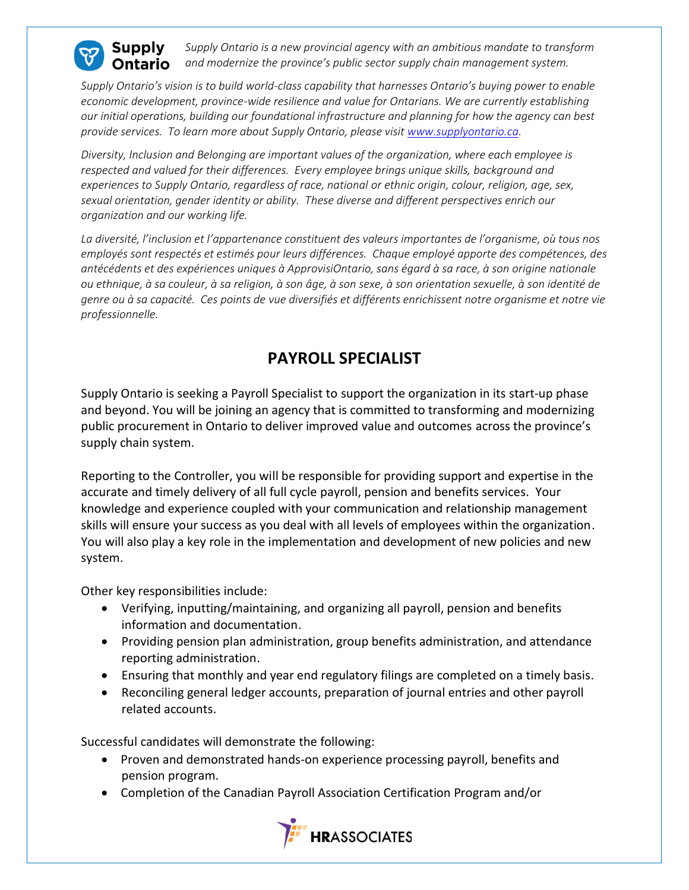

*Supply Ontario is a new provincial agency with an ambitious mandate to transform*  **)ntario** *and modernize the province's public sector supply chain management system.*

*Supply Ontario's vision is to build world-class capability that harnesses Ontario's buying power to enable economic development, province-wide resilience and value for Ontarians. We are currently establishing our initial operations, building our foundational infrastructure and planning for how the agency can best provide services. To learn more about Supply Ontario, please visit [www.supplyontario.ca.](http://www.supplyontario.ca/)* 

*Diversity, Inclusion and Belonging are important values of the organization, where each employee is respected and valued for their differences. Every employee brings unique skills, background and experiences to Supply Ontario, regardless of race, national or ethnic origin, colour, religion, age, sex, sexual orientation, gender identity or ability. These diverse and different perspectives enrich our organization and our working life.*

*La diversité, l'inclusion et l'appartenance constituent des valeurs importantes de l'organisme, où tous nos employés sont respectés et estimés pour leurs différences. Chaque employé apporte des compétences, des antécédents et des expériences uniques à ApprovisiOntario, sans égard à sa race, à son origine nationale ou ethnique, à sa couleur, à sa religion, à son âge, à son sexe, à son orientation sexuelle, à son identité de genre ou à sa capacité. Ces points de vue diversifiés et différents enrichissent notre organisme et notre vie professionnelle.*

## **PAYROLL SPECIALIST**

Supply Ontario is seeking a Payroll Specialist to support the organization in its start-up phase and beyond. You will be joining an agency that is committed to transforming and modernizing public procurement in Ontario to deliver improved value and outcomes across the province's supply chain system.

Reporting to the Controller, you will be responsible for providing support and expertise in the accurate and timely delivery of all full cycle payroll, pension and benefits services. Your knowledge and experience coupled with your communication and relationship management skills will ensure your success as you deal with all levels of employees within the organization. You will also play a key role in the implementation and development of new policies and new system.

Other key responsibilities include:

- Verifying, inputting/maintaining, and organizing all payroll, pension and benefits information and documentation.
- Providing pension plan administration, group benefits administration, and attendance reporting administration.
- Ensuring that monthly and year end regulatory filings are completed on a timely basis.
- Reconciling general ledger accounts, preparation of journal entries and other payroll related accounts.

Successful candidates will demonstrate the following:

- Proven and demonstrated hands-on experience processing payroll, benefits and pension program.
- Completion of the Canadian Payroll Association Certification Program and/or